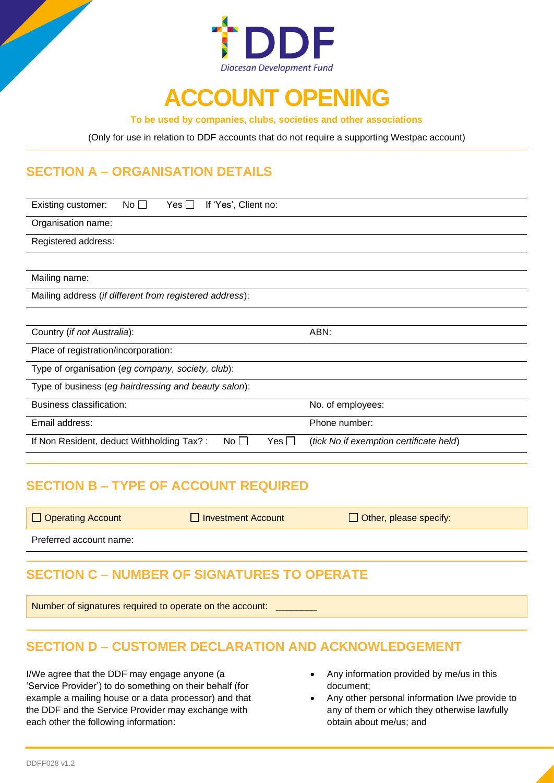

# **ACCOUNT OPENING**

**To be used by companies, clubs, societies and other associations**

(Only for use in relation to DDF accounts that do not require a supporting Westpac account)

### **SECTION A – ORGANISATION DETAILS**

| No $\square$<br>If 'Yes', Client no:<br>Yes $\Box$<br>Existing customer: |                                         |  |  |  |
|--------------------------------------------------------------------------|-----------------------------------------|--|--|--|
| Organisation name:                                                       |                                         |  |  |  |
| Registered address:                                                      |                                         |  |  |  |
|                                                                          |                                         |  |  |  |
| Mailing name:                                                            |                                         |  |  |  |
| Mailing address (if different from registered address):                  |                                         |  |  |  |
|                                                                          |                                         |  |  |  |
| Country (if not Australia):                                              | ABN:                                    |  |  |  |
| Place of registration/incorporation:                                     |                                         |  |  |  |
| Type of organisation (eg company, society, club):                        |                                         |  |  |  |
| Type of business (eg hairdressing and beauty salon):                     |                                         |  |  |  |
| <b>Business classification:</b>                                          | No. of employees:                       |  |  |  |
| Email address:                                                           | Phone number:                           |  |  |  |
| No $\square$<br>If Non Resident, deduct Withholding Tax?:<br>$Yes \Box$  | (tick No if exemption certificate held) |  |  |  |
|                                                                          |                                         |  |  |  |

### **SECTION B – TYPE OF ACCOUNT REQUIRED**

|  | Operating Account |
|--|-------------------|
|  |                   |

 $\Box$  Investment Account  $\Box$  Other, please specify:

Preferred account name:

## **SECTION C – NUMBER OF SIGNATURES TO OPERATE**

Number of signatures required to operate on the account:

## **SECTION D – CUSTOMER DECLARATION AND ACKNOWLEDGEMENT**

I/We agree that the DDF may engage anyone (a 'Service Provider') to do something on their behalf (for example a mailing house or a data processor) and that the DDF and the Service Provider may exchange with each other the following information:

- Any information provided by me/us in this document;
- Any other personal information I/we provide to any of them or which they otherwise lawfully obtain about me/us; and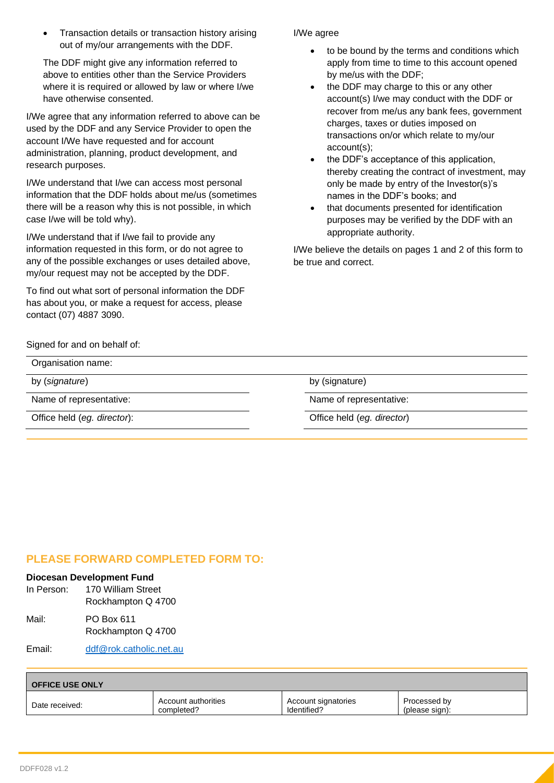• Transaction details or transaction history arising out of my/our arrangements with the DDF.

The DDF might give any information referred to above to entities other than the Service Providers where it is required or allowed by law or where I/we have otherwise consented.

I/We agree that any information referred to above can be used by the DDF and any Service Provider to open the account I/We have requested and for account administration, planning, product development, and research purposes.

I/We understand that I/we can access most personal information that the DDF holds about me/us (sometimes there will be a reason why this is not possible, in which case I/we will be told why).

I/We understand that if I/we fail to provide any information requested in this form, or do not agree to any of the possible exchanges or uses detailed above, my/our request may not be accepted by the DDF.

To find out what sort of personal information the DDF has about you, or make a request for access, please contact (07) 4887 3090.

#### I/We agree

- to be bound by the terms and conditions which apply from time to time to this account opened by me/us with the DDF;
- the DDF may charge to this or any other account(s) I/we may conduct with the DDF or recover from me/us any bank fees, government charges, taxes or duties imposed on transactions on/or which relate to my/our account(s);
- the DDF's acceptance of this application, thereby creating the contract of investment, may only be made by entry of the Investor(s)'s names in the DDF's books; and
- that documents presented for identification purposes may be verified by the DDF with an appropriate authority.

I/We believe the details on pages 1 and 2 of this form to be true and correct.

Signed for and on behalf of:

| Organisation name:          |                            |
|-----------------------------|----------------------------|
| by (signature)              | by (signature)             |
| Name of representative:     | Name of representative:    |
| Office held (eg. director): | Office held (eg. director) |

### **PLEASE FORWARD COMPLETED FORM TO:**

#### **Diocesan Development Fund**

| In Person: | 170 William Street               |  |
|------------|----------------------------------|--|
|            | Rockhampton Q 4700               |  |
| Mail:      | PO Box 611<br>Rockhampton Q 4700 |  |
|            |                                  |  |

Email: [ddf@rok.catholic.net.au](mailto:ddf@rok.catholic.net.au)

| <b>OFFICE USE ONLY</b> |                     |                     |                |  |  |  |
|------------------------|---------------------|---------------------|----------------|--|--|--|
| Date received:         | Account authorities | Account signatories | Processed by   |  |  |  |
|                        | completed?          | Identified?         | (please sign): |  |  |  |